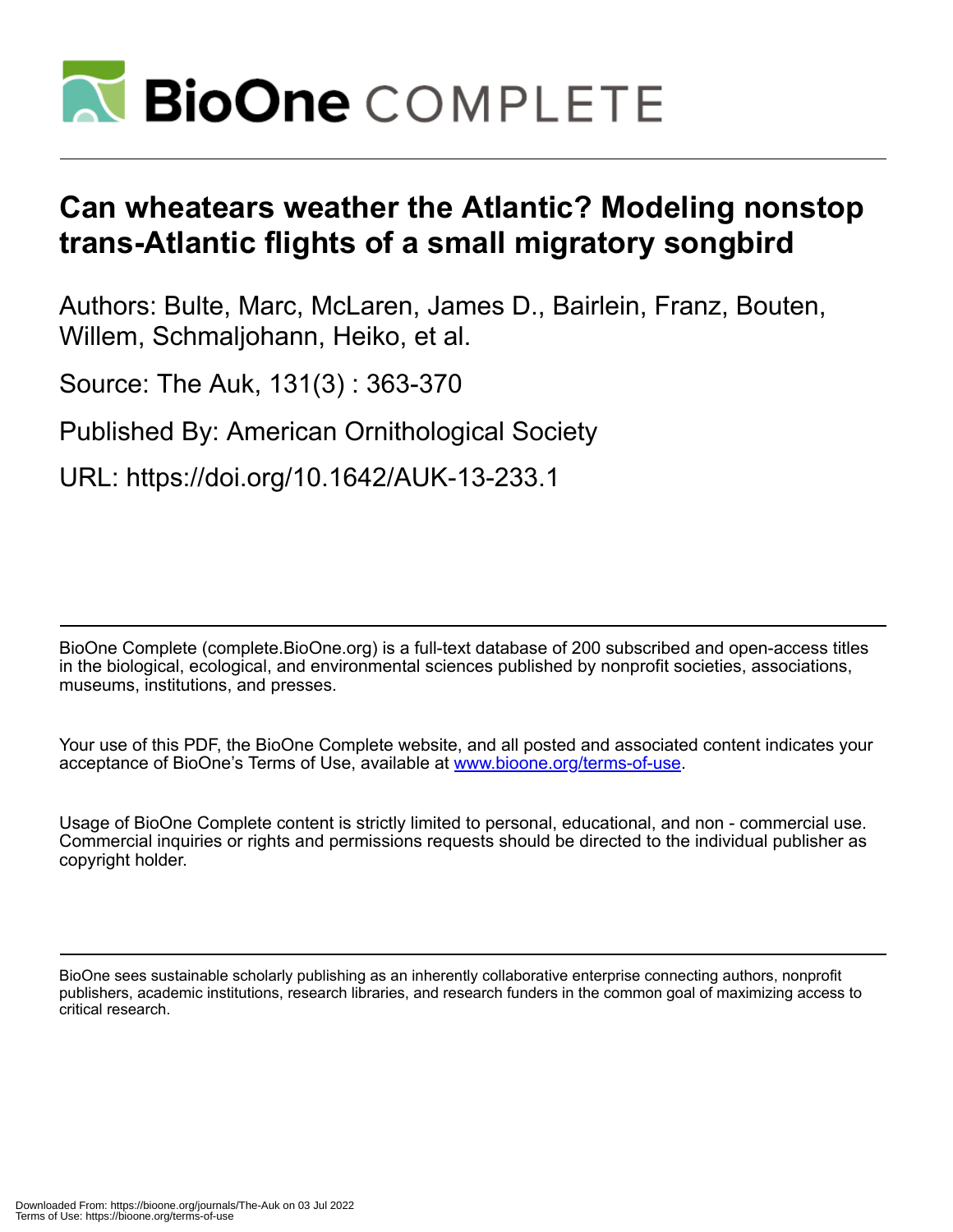

# **Can wheatears weather the Atlantic? Modeling nonstop trans-Atlantic flights of a small migratory songbird**

Authors: Bulte, Marc, McLaren, James D., Bairlein, Franz, Bouten, Willem, Schmaljohann, Heiko, et al.

Source: The Auk, 131(3) : 363-370

Published By: American Ornithological Society

URL: https://doi.org/10.1642/AUK-13-233.1

BioOne Complete (complete.BioOne.org) is a full-text database of 200 subscribed and open-access titles in the biological, ecological, and environmental sciences published by nonprofit societies, associations, museums, institutions, and presses.

Your use of this PDF, the BioOne Complete website, and all posted and associated content indicates your acceptance of BioOne's Terms of Use, available at www.bioone.org/terms-of-use.

Usage of BioOne Complete content is strictly limited to personal, educational, and non - commercial use. Commercial inquiries or rights and permissions requests should be directed to the individual publisher as copyright holder.

BioOne sees sustainable scholarly publishing as an inherently collaborative enterprise connecting authors, nonprofit publishers, academic institutions, research libraries, and research funders in the common goal of maximizing access to critical research.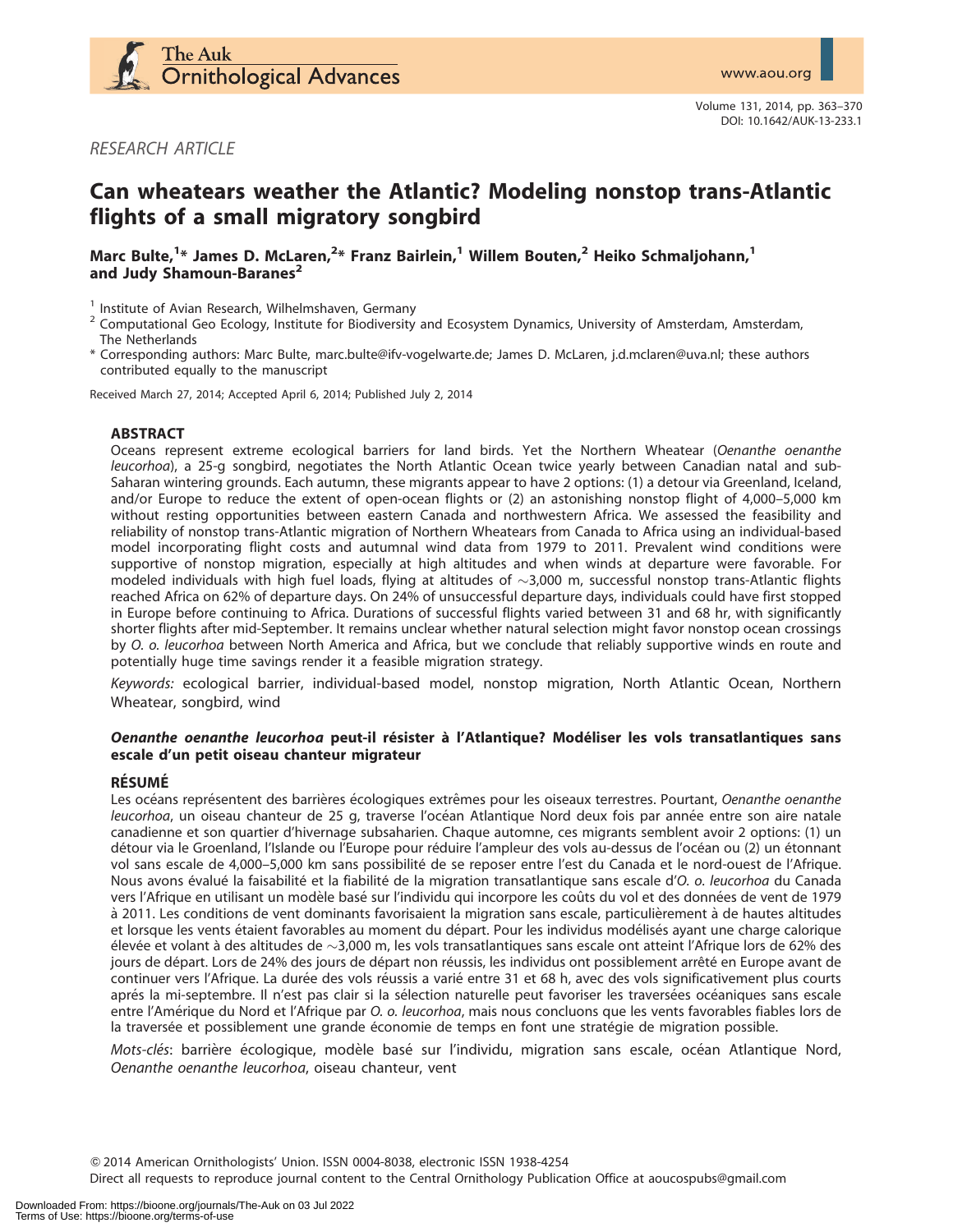

RESEARCH ARTICLE

# Can wheatears weather the Atlantic? Modeling nonstop trans-Atlantic flights of a small migratory songbird

Marc Bulte, $^{1*}$  James D. McLaren, $^{2*}$  Franz Bairlein, $^{1}$  Willem Bouten, $^{2}$  Heiko Schmaljohann, $^{1}$ and Judy Shamoun-Baranes<sup>2</sup>

- <sup>1</sup> Institute of Avian Research, Wilhelmshaven, Germany<br><sup>2</sup> Computational Geo Ecology, Institute for Biodiversity and Ecosystem Dynamics, University of Amsterdam, Amsterdam, The Netherlands
- \* Corresponding authors: Marc Bulte, marc.bulte@ifv-vogelwarte.de; James D. McLaren, j.d.mclaren@uva.nl; these authors contributed equally to the manuscript

Received March 27, 2014; Accepted April 6, 2014; Published July 2, 2014

#### ABSTRACT

Oceans represent extreme ecological barriers for land birds. Yet the Northern Wheatear (Oenanthe oenanthe leucorhoa), a 25-g songbird, negotiates the North Atlantic Ocean twice yearly between Canadian natal and sub-Saharan wintering grounds. Each autumn, these migrants appear to have 2 options: (1) a detour via Greenland, Iceland, and/or Europe to reduce the extent of open-ocean flights or (2) an astonishing nonstop flight of 4,000–5,000 km without resting opportunities between eastern Canada and northwestern Africa. We assessed the feasibility and reliability of nonstop trans-Atlantic migration of Northern Wheatears from Canada to Africa using an individual-based model incorporating flight costs and autumnal wind data from 1979 to 2011. Prevalent wind conditions were supportive of nonstop migration, especially at high altitudes and when winds at departure were favorable. For modeled individuals with high fuel loads, flying at altitudes of  $\sim$ 3,000 m, successful nonstop trans-Atlantic flights reached Africa on 62% of departure days. On 24% of unsuccessful departure days, individuals could have first stopped in Europe before continuing to Africa. Durations of successful flights varied between 31 and 68 hr, with significantly shorter flights after mid-September. It remains unclear whether natural selection might favor nonstop ocean crossings by O. o. leucorhoa between North America and Africa, but we conclude that reliably supportive winds en route and potentially huge time savings render it a feasible migration strategy.

Keywords: ecological barrier, individual-based model, nonstop migration, North Atlantic Ocean, Northern Wheatear, songbird, wind

#### Oenanthe oenanthe leucorhoa peut-il résister à l'Atlantique? Modéliser les vols transatlantiques sans escale d'un petit oiseau chanteur migrateur

#### **RÉSUMÉ**

Les océans représentent des barrières écologiques extrêmes pour les oiseaux terrestres. Pourtant, Oenanthe oenanthe leucorhoa, un oiseau chanteur de 25 g, traverse l'océan Atlantique Nord deux fois par année entre son aire natale canadienne et son quartier d'hivernage subsaharien. Chaque automne, ces migrants semblent avoir 2 options: (1) un détour via le Groenland, l'Islande ou l'Europe pour réduire l'ampleur des vols au-dessus de l'océan ou (2) un étonnant vol sans escale de 4,000-5,000 km sans possibilité de se reposer entre l'est du Canada et le nord-ouest de l'Afrique. Nous avons évalué la faisabilité et la fiabilité de la migration transatlantique sans escale d'O. o. leucorhoa du Canada vers l'Afrique en utilisant un modèle basé sur l'individu qui incorpore les coûts du vol et des données de vent de 1979 à 2011. Les conditions de vent dominants favorisaient la migration sans escale, particulièrement à de hautes altitudes et lorsque les vents étaient favorables au moment du départ. Pour les individus modélisés ayant une charge calorique élevée et volant à des altitudes de  $\sim$ 3,000 m, les vols transatlantiques sans escale ont atteint l'Afrique lors de 62% des jours de départ. Lors de 24% des jours de départ non réussis, les individus ont possiblement arrêté en Europe avant de continuer vers l'Afrique. La durée des vols réussis a varié entre 31 et 68 h, avec des vols significativement plus courts aprés la mi-septembre. Il n'est pas clair si la sélection naturelle peut favoriser les traversées océaniques sans escale entre l'Amérique du Nord et l'Afrique par O. o. leucorhoa, mais nous concluons que les vents favorables fiables lors de la traversée et possiblement une grande économie de temps en font une stratégie de migration possible.

Mots-clés: barrière écologique, modèle basé sur l'individu, migration sans escale, océan Atlantique Nord, Oenanthe oenanthe leucorhoa, oiseau chanteur, vent

Q 2014 American Ornithologists' Union. ISSN 0004-8038, electronic ISSN 1938-4254

Direct all requests to reproduce journal content to the Central Ornithology Publication Office at aoucospubs@gmail.com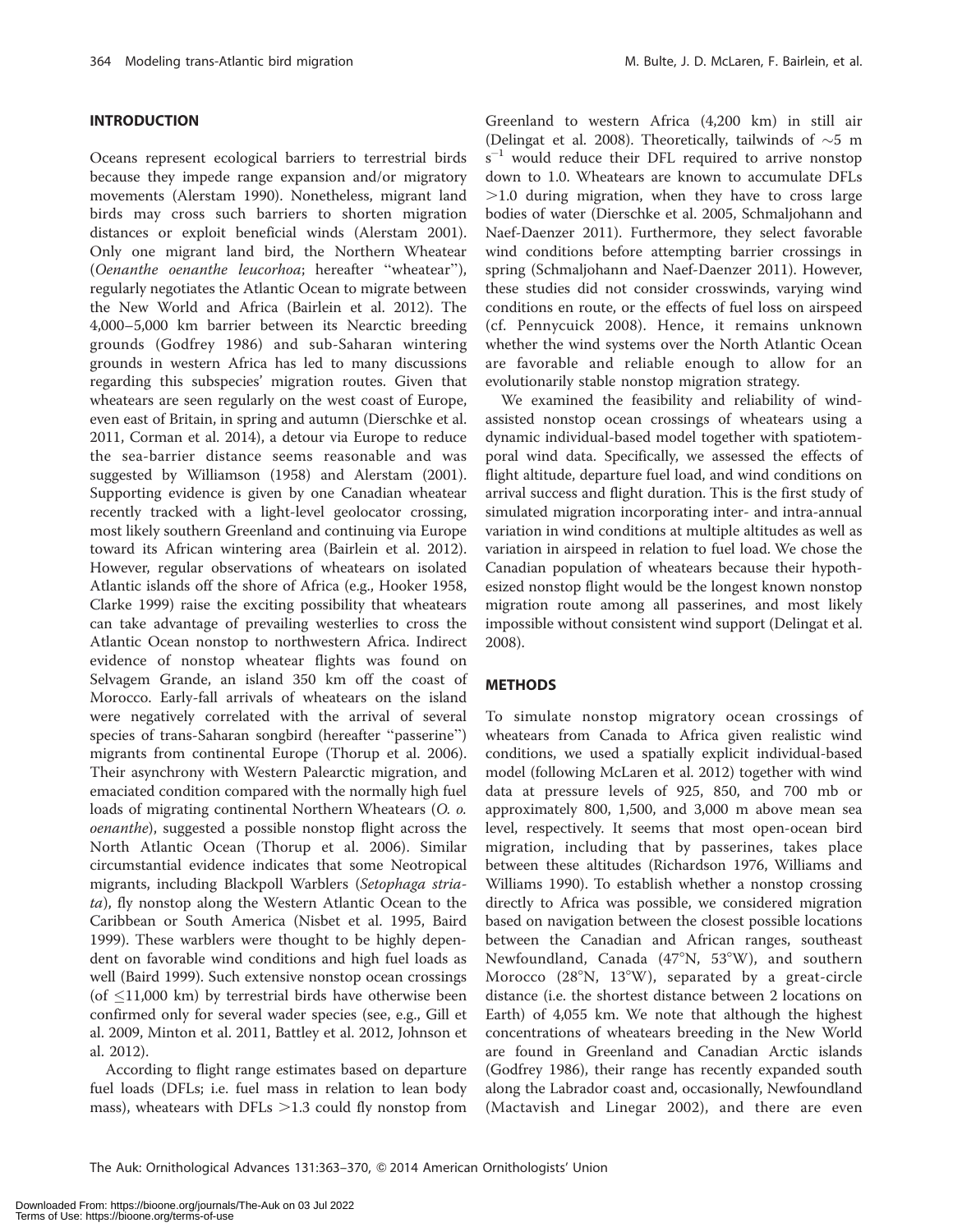# INTRODUCTION

Oceans represent ecological barriers to terrestrial birds because they impede range expansion and/or migratory movements (Alerstam 1990). Nonetheless, migrant land birds may cross such barriers to shorten migration distances or exploit beneficial winds (Alerstam 2001). Only one migrant land bird, the Northern Wheatear (Oenanthe oenanthe leucorhoa; hereafter ''wheatear''), regularly negotiates the Atlantic Ocean to migrate between the New World and Africa (Bairlein et al. 2012). The 4,000–5,000 km barrier between its Nearctic breeding grounds (Godfrey 1986) and sub-Saharan wintering grounds in western Africa has led to many discussions regarding this subspecies' migration routes. Given that wheatears are seen regularly on the west coast of Europe, even east of Britain, in spring and autumn (Dierschke et al. 2011, Corman et al. 2014), a detour via Europe to reduce the sea-barrier distance seems reasonable and was suggested by Williamson (1958) and Alerstam (2001). Supporting evidence is given by one Canadian wheatear recently tracked with a light-level geolocator crossing, most likely southern Greenland and continuing via Europe toward its African wintering area (Bairlein et al. 2012). However, regular observations of wheatears on isolated Atlantic islands off the shore of Africa (e.g., Hooker 1958, Clarke 1999) raise the exciting possibility that wheatears can take advantage of prevailing westerlies to cross the Atlantic Ocean nonstop to northwestern Africa. Indirect evidence of nonstop wheatear flights was found on Selvagem Grande, an island 350 km off the coast of Morocco. Early-fall arrivals of wheatears on the island were negatively correlated with the arrival of several species of trans-Saharan songbird (hereafter ''passerine'') migrants from continental Europe (Thorup et al. 2006). Their asynchrony with Western Palearctic migration, and emaciated condition compared with the normally high fuel loads of migrating continental Northern Wheatears (O. o. oenanthe), suggested a possible nonstop flight across the North Atlantic Ocean (Thorup et al. 2006). Similar circumstantial evidence indicates that some Neotropical migrants, including Blackpoll Warblers (Setophaga striata), fly nonstop along the Western Atlantic Ocean to the Caribbean or South America (Nisbet et al. 1995, Baird 1999). These warblers were thought to be highly dependent on favorable wind conditions and high fuel loads as well (Baird 1999). Such extensive nonstop ocean crossings (of  $\leq$ 11,000 km) by terrestrial birds have otherwise been confirmed only for several wader species (see, e.g., Gill et al. 2009, Minton et al. 2011, Battley et al. 2012, Johnson et al. 2012).

According to flight range estimates based on departure fuel loads (DFLs; i.e. fuel mass in relation to lean body mass), wheatears with DFLs  $>1.3$  could fly nonstop from

Greenland to western Africa (4,200 km) in still air (Delingat et al. 2008). Theoretically, tailwinds of  $\sim$ 5 m  $s^{-1}$  would reduce their DFL required to arrive nonstop down to 1.0. Wheatears are known to accumulate DFLs  $>1.0$  during migration, when they have to cross large bodies of water (Dierschke et al. 2005, Schmaljohann and Naef-Daenzer 2011). Furthermore, they select favorable wind conditions before attempting barrier crossings in spring (Schmaljohann and Naef-Daenzer 2011). However, these studies did not consider crosswinds, varying wind conditions en route, or the effects of fuel loss on airspeed (cf. Pennycuick 2008). Hence, it remains unknown whether the wind systems over the North Atlantic Ocean are favorable and reliable enough to allow for an evolutionarily stable nonstop migration strategy.

We examined the feasibility and reliability of windassisted nonstop ocean crossings of wheatears using a dynamic individual-based model together with spatiotemporal wind data. Specifically, we assessed the effects of flight altitude, departure fuel load, and wind conditions on arrival success and flight duration. This is the first study of simulated migration incorporating inter- and intra-annual variation in wind conditions at multiple altitudes as well as variation in airspeed in relation to fuel load. We chose the Canadian population of wheatears because their hypothesized nonstop flight would be the longest known nonstop migration route among all passerines, and most likely impossible without consistent wind support (Delingat et al. 2008).

#### METHODS

To simulate nonstop migratory ocean crossings of wheatears from Canada to Africa given realistic wind conditions, we used a spatially explicit individual-based model (following McLaren et al. 2012) together with wind data at pressure levels of 925, 850, and 700 mb or approximately 800, 1,500, and 3,000 m above mean sea level, respectively. It seems that most open-ocean bird migration, including that by passerines, takes place between these altitudes (Richardson 1976, Williams and Williams 1990). To establish whether a nonstop crossing directly to Africa was possible, we considered migration based on navigation between the closest possible locations between the Canadian and African ranges, southeast Newfoundland, Canada  $(47°N, 53°W)$ , and southern Morocco  $(28^{\circ}N, 13^{\circ}W)$ , separated by a great-circle distance (i.e. the shortest distance between 2 locations on Earth) of 4,055 km. We note that although the highest concentrations of wheatears breeding in the New World are found in Greenland and Canadian Arctic islands (Godfrey 1986), their range has recently expanded south along the Labrador coast and, occasionally, Newfoundland (Mactavish and Linegar 2002), and there are even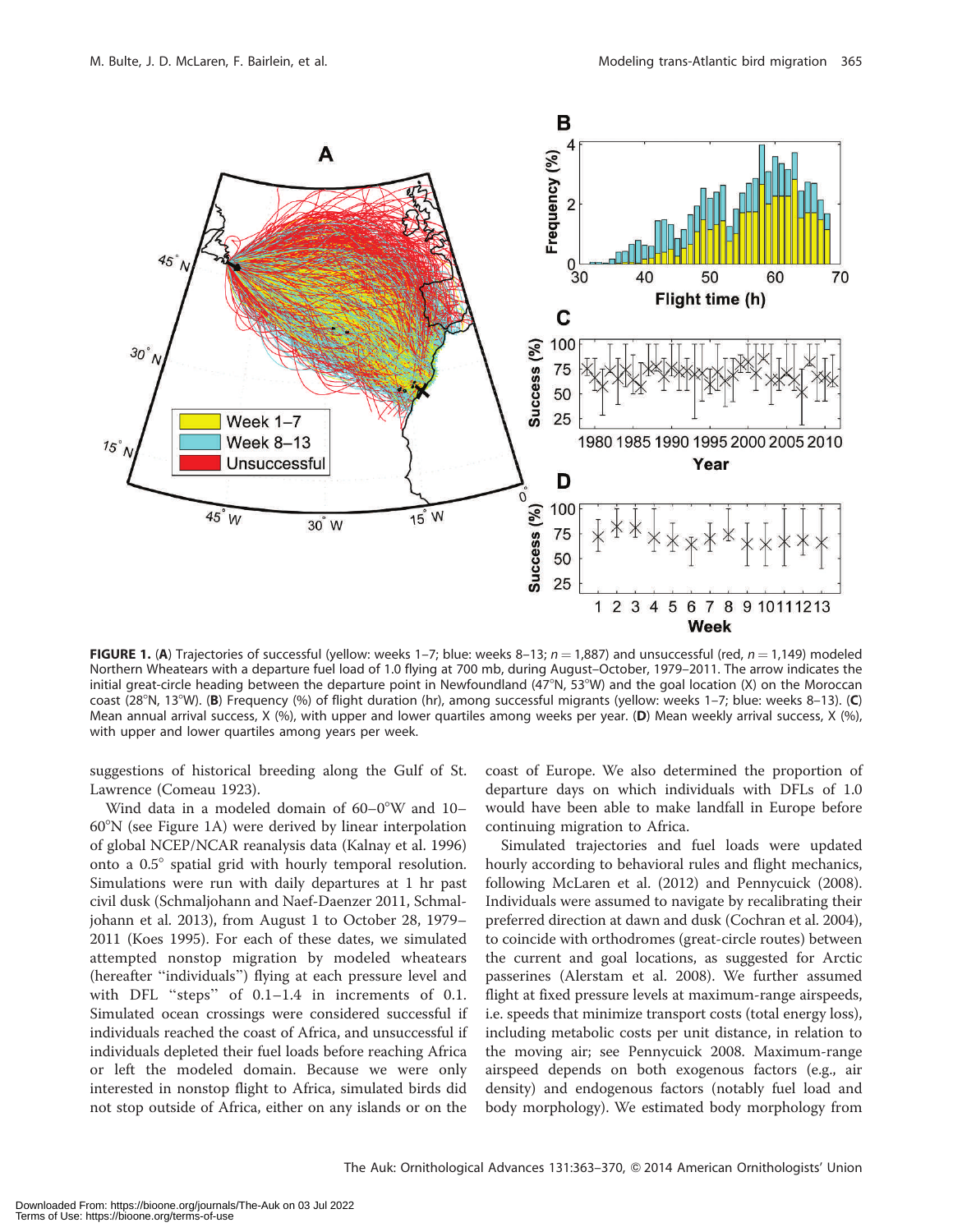

FIGURE 1. (A) Trajectories of successful (yellow: weeks 1–7; blue: weeks 8–13;  $n = 1,887$ ) and unsuccessful (red,  $n = 1,149$ ) modeled Northern Wheatears with a departure fuel load of 1.0 flying at 700 mb, during August–October, 1979–2011. The arrow indicates the initial great-circle heading between the departure point in Newfoundland (47°N, 53°W) and the goal location (X) on the Moroccan coast (28°N, 13°W). (B) Frequency (%) of flight duration (hr), among successful migrants (yellow: weeks 1–7; blue: weeks 8–13). (C) Mean annual arrival success, X (%), with upper and lower quartiles among weeks per year. (D) Mean weekly arrival success, X (%), with upper and lower quartiles among years per week.

suggestions of historical breeding along the Gulf of St. Lawrence (Comeau 1923).

Wind data in a modeled domain of  $60-0^{\circ}$ W and  $10-$ 608N (see Figure 1A) were derived by linear interpolation of global NCEP/NCAR reanalysis data (Kalnay et al. 1996) onto a  $0.5^\circ$  spatial grid with hourly temporal resolution. Simulations were run with daily departures at 1 hr past civil dusk (Schmaljohann and Naef-Daenzer 2011, Schmaljohann et al. 2013), from August 1 to October 28, 1979– 2011 (Koes 1995). For each of these dates, we simulated attempted nonstop migration by modeled wheatears (hereafter ''individuals'') flying at each pressure level and with DFL "steps" of 0.1-1.4 in increments of 0.1. Simulated ocean crossings were considered successful if individuals reached the coast of Africa, and unsuccessful if individuals depleted their fuel loads before reaching Africa or left the modeled domain. Because we were only interested in nonstop flight to Africa, simulated birds did not stop outside of Africa, either on any islands or on the

coast of Europe. We also determined the proportion of departure days on which individuals with DFLs of 1.0 would have been able to make landfall in Europe before continuing migration to Africa.

Simulated trajectories and fuel loads were updated hourly according to behavioral rules and flight mechanics, following McLaren et al. (2012) and Pennycuick (2008). Individuals were assumed to navigate by recalibrating their preferred direction at dawn and dusk (Cochran et al. 2004), to coincide with orthodromes (great-circle routes) between the current and goal locations, as suggested for Arctic passerines (Alerstam et al. 2008). We further assumed flight at fixed pressure levels at maximum-range airspeeds, i.e. speeds that minimize transport costs (total energy loss), including metabolic costs per unit distance, in relation to the moving air; see Pennycuick 2008. Maximum-range airspeed depends on both exogenous factors (e.g., air density) and endogenous factors (notably fuel load and body morphology). We estimated body morphology from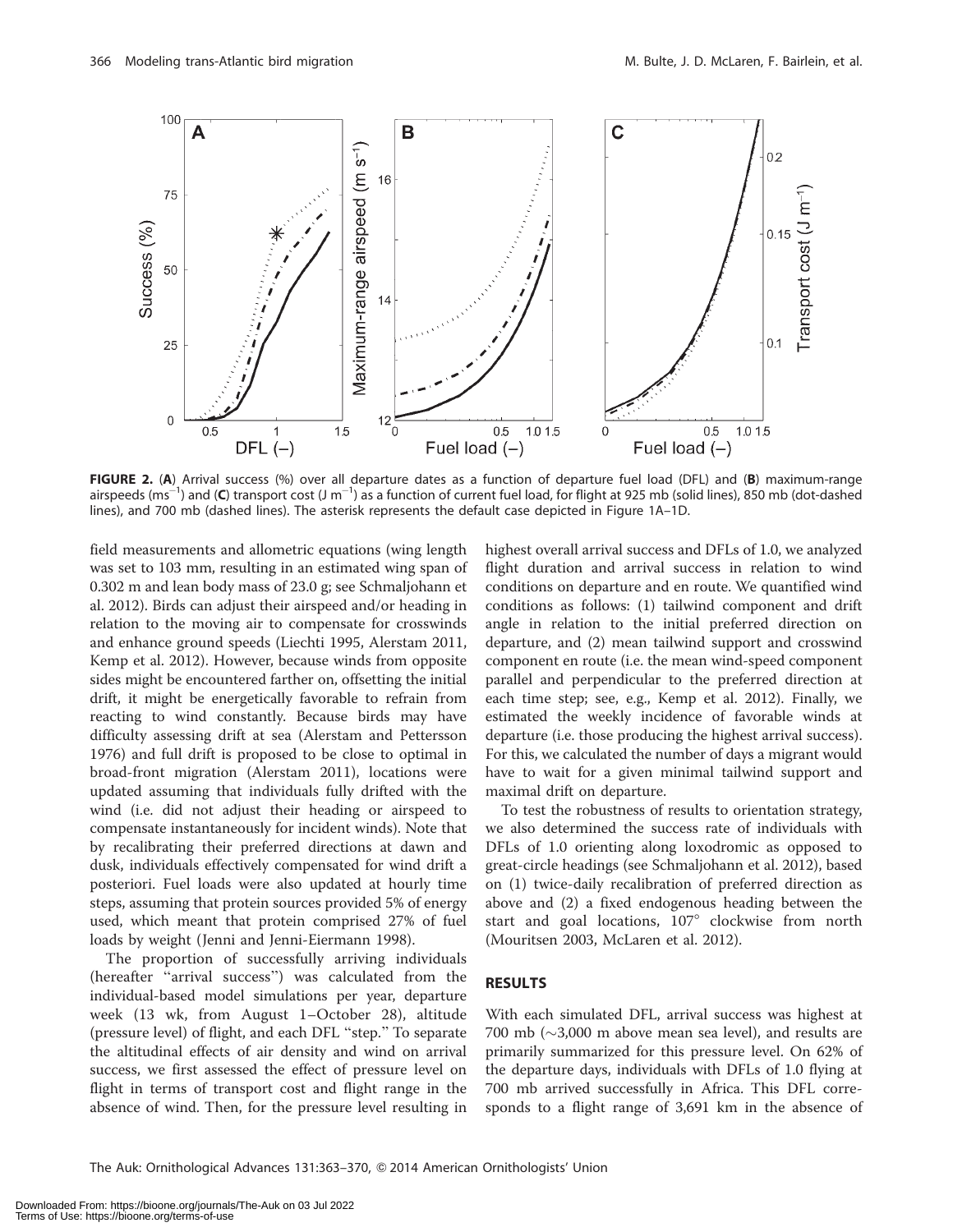

FIGURE 2. (A) Arrival success (%) over all departure dates as a function of departure fuel load (DFL) and (B) maximum-range airspeeds (ms<sup>-1</sup>) and (C) transport cost (J m<sup>-1</sup>) as a function of current fuel load, for flight at 925 mb (solid lines), 850 mb (dot-dashed lines), and 700 mb (dashed lines). The asterisk represents the default case depicted in Figure 1A–1D.

field measurements and allometric equations (wing length was set to 103 mm, resulting in an estimated wing span of 0.302 m and lean body mass of 23.0 g; see Schmaljohann et al. 2012). Birds can adjust their airspeed and/or heading in relation to the moving air to compensate for crosswinds and enhance ground speeds (Liechti 1995, Alerstam 2011, Kemp et al. 2012). However, because winds from opposite sides might be encountered farther on, offsetting the initial drift, it might be energetically favorable to refrain from reacting to wind constantly. Because birds may have difficulty assessing drift at sea (Alerstam and Pettersson 1976) and full drift is proposed to be close to optimal in broad-front migration (Alerstam 2011), locations were updated assuming that individuals fully drifted with the wind (i.e. did not adjust their heading or airspeed to compensate instantaneously for incident winds). Note that by recalibrating their preferred directions at dawn and dusk, individuals effectively compensated for wind drift a posteriori. Fuel loads were also updated at hourly time steps, assuming that protein sources provided 5% of energy used, which meant that protein comprised 27% of fuel loads by weight (Jenni and Jenni-Eiermann 1998).

The proportion of successfully arriving individuals (hereafter ''arrival success'') was calculated from the individual-based model simulations per year, departure week (13 wk, from August 1–October 28), altitude (pressure level) of flight, and each DFL ''step.'' To separate the altitudinal effects of air density and wind on arrival success, we first assessed the effect of pressure level on flight in terms of transport cost and flight range in the absence of wind. Then, for the pressure level resulting in

highest overall arrival success and DFLs of 1.0, we analyzed flight duration and arrival success in relation to wind conditions on departure and en route. We quantified wind conditions as follows: (1) tailwind component and drift angle in relation to the initial preferred direction on departure, and (2) mean tailwind support and crosswind component en route (i.e. the mean wind-speed component parallel and perpendicular to the preferred direction at each time step; see, e.g., Kemp et al. 2012). Finally, we estimated the weekly incidence of favorable winds at departure (i.e. those producing the highest arrival success). For this, we calculated the number of days a migrant would have to wait for a given minimal tailwind support and maximal drift on departure.

To test the robustness of results to orientation strategy, we also determined the success rate of individuals with DFLs of 1.0 orienting along loxodromic as opposed to great-circle headings (see Schmaljohann et al. 2012), based on (1) twice-daily recalibration of preferred direction as above and (2) a fixed endogenous heading between the start and goal locations, 107° clockwise from north (Mouritsen 2003, McLaren et al. 2012).

# RESULTS

With each simulated DFL, arrival success was highest at 700 mb ( $\sim$ 3,000 m above mean sea level), and results are primarily summarized for this pressure level. On 62% of the departure days, individuals with DFLs of 1.0 flying at 700 mb arrived successfully in Africa. This DFL corresponds to a flight range of 3,691 km in the absence of

The Auk: Ornithological Advances 131:363–370, Q 2014 American Ornithologists' Union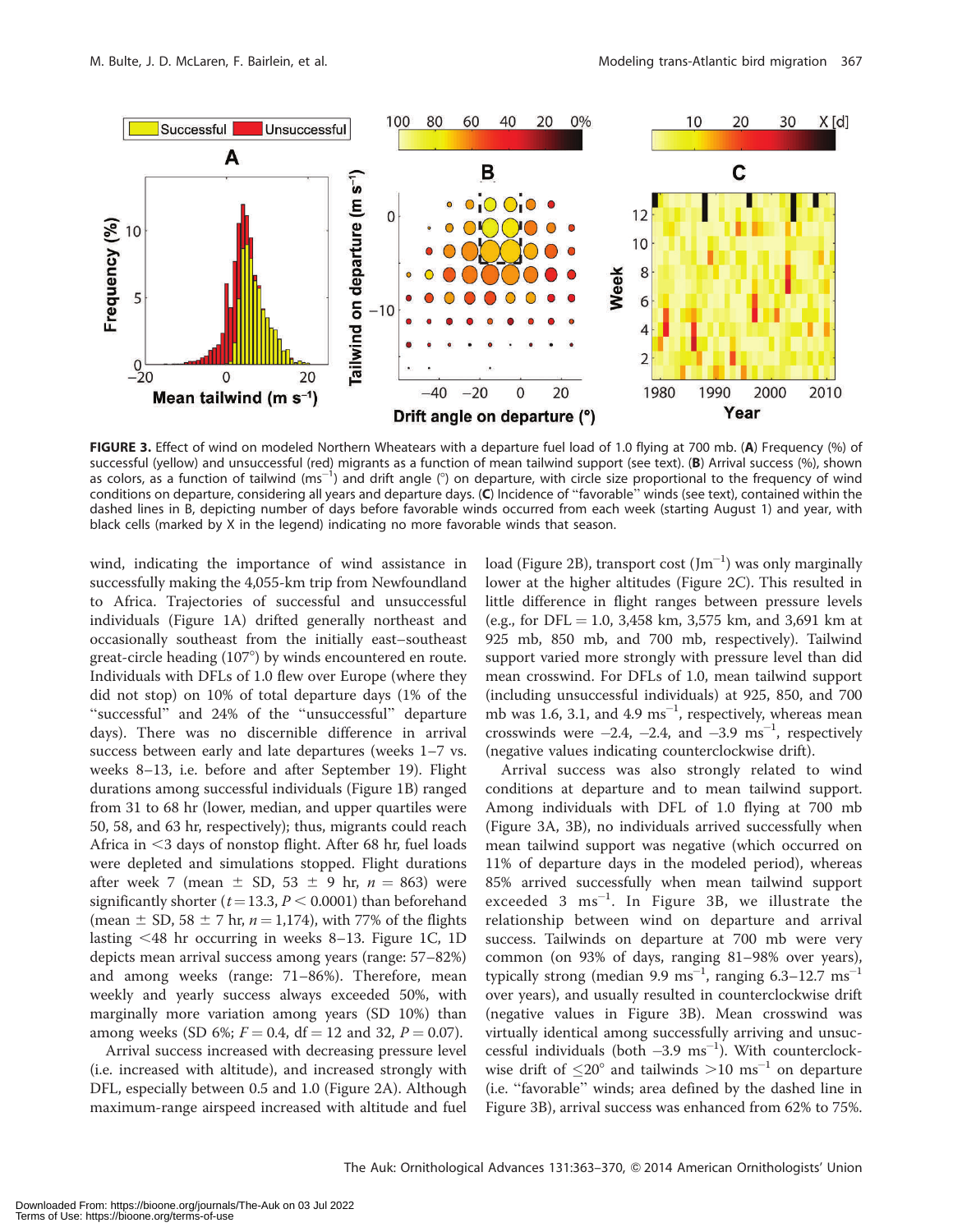

FIGURE 3. Effect of wind on modeled Northern Wheatears with a departure fuel load of 1.0 flying at 700 mb. (A) Frequency (%) of successful (yellow) and unsuccessful (red) migrants as a function of mean tailwind support (see text). (B) Arrival success (%), shown as colors, as a function of tailwind (ms<sup>-1</sup>) and drift angle (°) on departure, with circle size proportional to the frequency of wind conditions on departure, considering all years and departure days. (C) Incidence of ''favorable'' winds (see text), contained within the dashed lines in B, depicting number of days before favorable winds occurred from each week (starting August 1) and year, with black cells (marked by X in the legend) indicating no more favorable winds that season.

wind, indicating the importance of wind assistance in successfully making the 4,055-km trip from Newfoundland to Africa. Trajectories of successful and unsuccessful individuals (Figure 1A) drifted generally northeast and occasionally southeast from the initially east–southeast great-circle heading (107°) by winds encountered en route. Individuals with DFLs of 1.0 flew over Europe (where they did not stop) on 10% of total departure days (1% of the "successful" and 24% of the "unsuccessful" departure days). There was no discernible difference in arrival success between early and late departures (weeks 1–7 vs. weeks 8–13, i.e. before and after September 19). Flight durations among successful individuals (Figure 1B) ranged from 31 to 68 hr (lower, median, and upper quartiles were 50, 58, and 63 hr, respectively); thus, migrants could reach Africa in  $<$ 3 days of nonstop flight. After 68 hr, fuel loads were depleted and simulations stopped. Flight durations after week 7 (mean  $\pm$  SD, 53  $\pm$  9 hr,  $n = 863$ ) were significantly shorter ( $t=13.3$ ,  $P < 0.0001$ ) than beforehand (mean  $\pm$  SD, 58  $\pm$  7 hr,  $n = 1,174$ ), with 77% of the flights lasting  $\leq$  48 hr occurring in weeks 8–13. Figure 1C, 1D depicts mean arrival success among years (range: 57–82%) and among weeks (range: 71–86%). Therefore, mean weekly and yearly success always exceeded 50%, with marginally more variation among years (SD 10%) than among weeks (SD 6%;  $F = 0.4$ , df = 12 and 32,  $P = 0.07$ ).

Arrival success increased with decreasing pressure level (i.e. increased with altitude), and increased strongly with DFL, especially between 0.5 and 1.0 (Figure 2A). Although maximum-range airspeed increased with altitude and fuel

load (Figure 2B), transport cost  $(\mathrm{Jm}^{-1})$  was only marginally lower at the higher altitudes (Figure 2C). This resulted in little difference in flight ranges between pressure levels (e.g., for DFL = 1.0, 3,458 km, 3,575 km, and 3,691 km at 925 mb, 850 mb, and 700 mb, respectively). Tailwind support varied more strongly with pressure level than did mean crosswind. For DFLs of 1.0, mean tailwind support (including unsuccessful individuals) at 925, 850, and 700 mb was 1.6, 3.1, and 4.9  $ms^{-1}$ , respectively, whereas mean crosswinds were  $-2.4$ ,  $-2.4$ , and  $-3.9 \text{ ms}^{-1}$ , respectively (negative values indicating counterclockwise drift).

Arrival success was also strongly related to wind conditions at departure and to mean tailwind support. Among individuals with DFL of 1.0 flying at 700 mb (Figure 3A, 3B), no individuals arrived successfully when mean tailwind support was negative (which occurred on 11% of departure days in the modeled period), whereas 85% arrived successfully when mean tailwind support exceeded  $3 \text{ ms}^{-1}$ . In Figure 3B, we illustrate the relationship between wind on departure and arrival success. Tailwinds on departure at 700 mb were very common (on 93% of days, ranging 81–98% over years), typically strong (median 9.9  $\text{ms}^{-1}$ , ranging 6.3–12.7  $\text{ms}^{-1}$ over years), and usually resulted in counterclockwise drift (negative values in Figure 3B). Mean crosswind was virtually identical among successfully arriving and unsuccessful individuals (both  $-3.9 \text{ ms}^{-1}$ ). With counterclockwise drift of  $\leq$ 20° and tailwinds  $>$ 10 ms<sup>-1</sup> on departure (i.e. ''favorable'' winds; area defined by the dashed line in Figure 3B), arrival success was enhanced from 62% to 75%.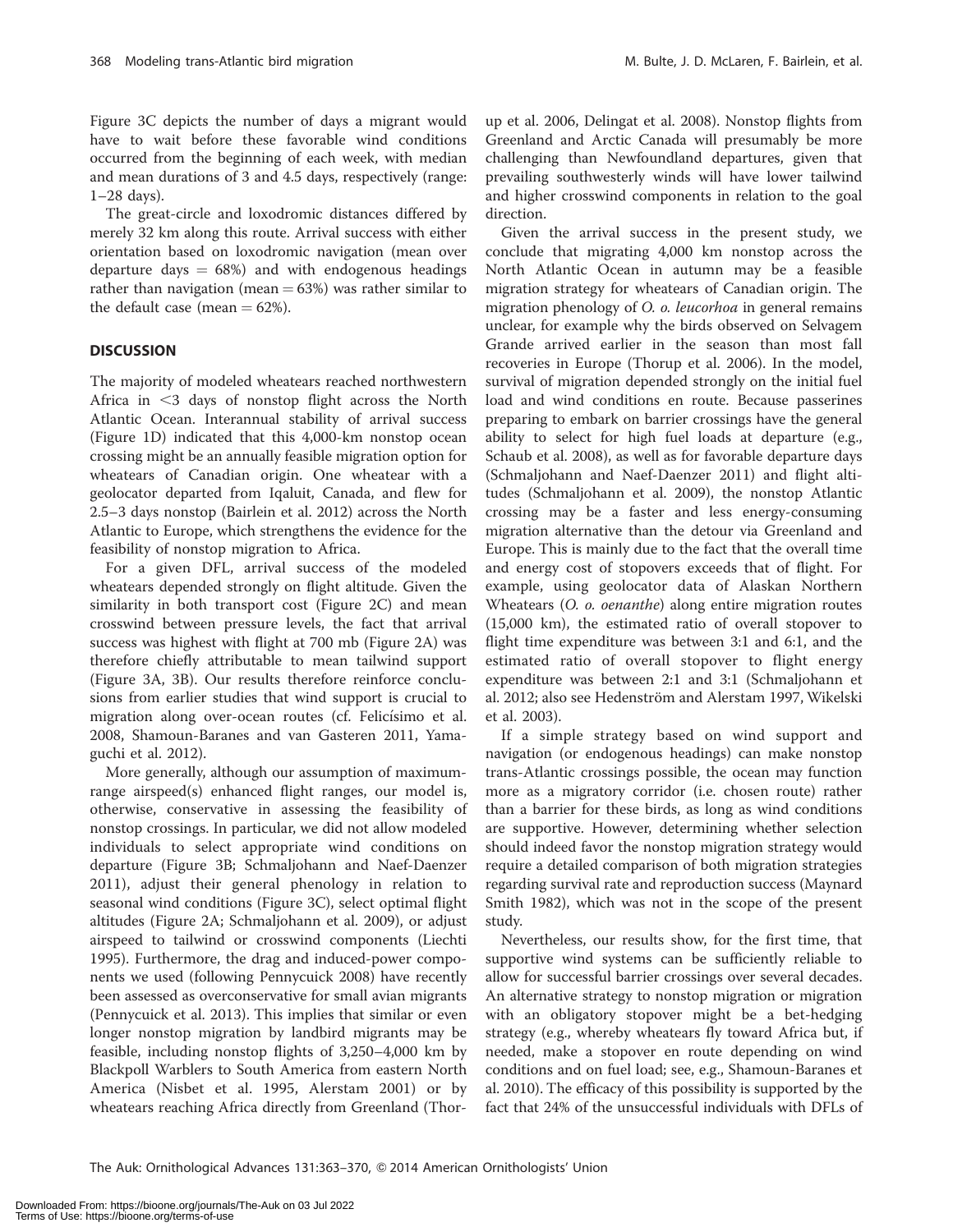Figure 3C depicts the number of days a migrant would have to wait before these favorable wind conditions occurred from the beginning of each week, with median and mean durations of 3 and 4.5 days, respectively (range: 1–28 days).

The great-circle and loxodromic distances differed by merely 32 km along this route. Arrival success with either orientation based on loxodromic navigation (mean over departure days  $= 68\%$  and with endogenous headings rather than navigation (mean  $= 63%$ ) was rather similar to the default case (mean  $= 62\%$ ).

### **DISCUSSION**

The majority of modeled wheatears reached northwestern Africa in  $\leq$ 3 days of nonstop flight across the North Atlantic Ocean. Interannual stability of arrival success (Figure 1D) indicated that this 4,000-km nonstop ocean crossing might be an annually feasible migration option for wheatears of Canadian origin. One wheatear with a geolocator departed from Iqaluit, Canada, and flew for 2.5–3 days nonstop (Bairlein et al. 2012) across the North Atlantic to Europe, which strengthens the evidence for the feasibility of nonstop migration to Africa.

For a given DFL, arrival success of the modeled wheatears depended strongly on flight altitude. Given the similarity in both transport cost (Figure 2C) and mean crosswind between pressure levels, the fact that arrival success was highest with flight at 700 mb (Figure 2A) was therefore chiefly attributable to mean tailwind support (Figure 3A, 3B). Our results therefore reinforce conclusions from earlier studies that wind support is crucial to migration along over-ocean routes (cf. Felicísimo et al. 2008, Shamoun-Baranes and van Gasteren 2011, Yamaguchi et al. 2012).

More generally, although our assumption of maximumrange airspeed(s) enhanced flight ranges, our model is, otherwise, conservative in assessing the feasibility of nonstop crossings. In particular, we did not allow modeled individuals to select appropriate wind conditions on departure (Figure 3B; Schmaljohann and Naef-Daenzer 2011), adjust their general phenology in relation to seasonal wind conditions (Figure 3C), select optimal flight altitudes (Figure 2A; Schmaljohann et al. 2009), or adjust airspeed to tailwind or crosswind components (Liechti 1995). Furthermore, the drag and induced-power components we used (following Pennycuick 2008) have recently been assessed as overconservative for small avian migrants (Pennycuick et al. 2013). This implies that similar or even longer nonstop migration by landbird migrants may be feasible, including nonstop flights of 3,250–4,000 km by Blackpoll Warblers to South America from eastern North America (Nisbet et al. 1995, Alerstam 2001) or by wheatears reaching Africa directly from Greenland (Thorup et al. 2006, Delingat et al. 2008). Nonstop flights from Greenland and Arctic Canada will presumably be more challenging than Newfoundland departures, given that prevailing southwesterly winds will have lower tailwind and higher crosswind components in relation to the goal direction.

Given the arrival success in the present study, we conclude that migrating 4,000 km nonstop across the North Atlantic Ocean in autumn may be a feasible migration strategy for wheatears of Canadian origin. The migration phenology of O. o. leucorhoa in general remains unclear, for example why the birds observed on Selvagem Grande arrived earlier in the season than most fall recoveries in Europe (Thorup et al. 2006). In the model, survival of migration depended strongly on the initial fuel load and wind conditions en route. Because passerines preparing to embark on barrier crossings have the general ability to select for high fuel loads at departure (e.g., Schaub et al. 2008), as well as for favorable departure days (Schmaljohann and Naef-Daenzer 2011) and flight altitudes (Schmaljohann et al. 2009), the nonstop Atlantic crossing may be a faster and less energy-consuming migration alternative than the detour via Greenland and Europe. This is mainly due to the fact that the overall time and energy cost of stopovers exceeds that of flight. For example, using geolocator data of Alaskan Northern Wheatears (O. o. oenanthe) along entire migration routes (15,000 km), the estimated ratio of overall stopover to flight time expenditure was between 3:1 and 6:1, and the estimated ratio of overall stopover to flight energy expenditure was between 2:1 and 3:1 (Schmaljohann et al. 2012; also see Hedenström and Alerstam 1997, Wikelski et al. 2003).

If a simple strategy based on wind support and navigation (or endogenous headings) can make nonstop trans-Atlantic crossings possible, the ocean may function more as a migratory corridor (i.e. chosen route) rather than a barrier for these birds, as long as wind conditions are supportive. However, determining whether selection should indeed favor the nonstop migration strategy would require a detailed comparison of both migration strategies regarding survival rate and reproduction success (Maynard Smith 1982), which was not in the scope of the present study.

Nevertheless, our results show, for the first time, that supportive wind systems can be sufficiently reliable to allow for successful barrier crossings over several decades. An alternative strategy to nonstop migration or migration with an obligatory stopover might be a bet-hedging strategy (e.g., whereby wheatears fly toward Africa but, if needed, make a stopover en route depending on wind conditions and on fuel load; see, e.g., Shamoun-Baranes et al. 2010). The efficacy of this possibility is supported by the fact that 24% of the unsuccessful individuals with DFLs of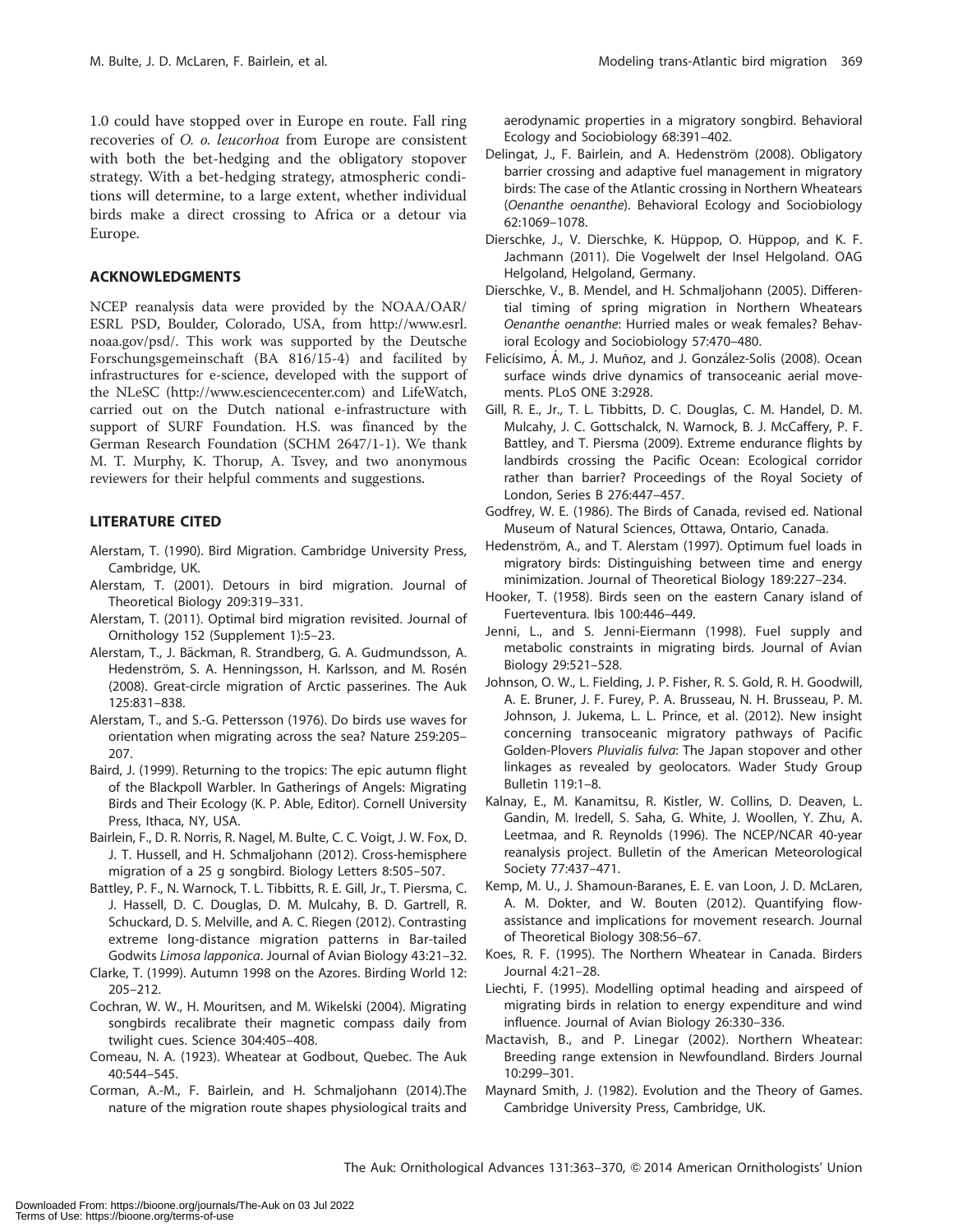1.0 could have stopped over in Europe en route. Fall ring recoveries of O. o. leucorhoa from Europe are consistent with both the bet-hedging and the obligatory stopover strategy. With a bet-hedging strategy, atmospheric conditions will determine, to a large extent, whether individual birds make a direct crossing to Africa or a detour via Europe.

# ACKNOWLEDGMENTS

NCEP reanalysis data were provided by the NOAA/OAR/ ESRL PSD, Boulder, Colorado, USA, from http://www.esrl. noaa.gov/psd/. This work was supported by the Deutsche Forschungsgemeinschaft (BA 816/15-4) and facilited by infrastructures for e-science, developed with the support of the NLeSC (http://www.esciencecenter.com) and LifeWatch, carried out on the Dutch national e-infrastructure with support of SURF Foundation. H.S. was financed by the German Research Foundation (SCHM 2647/1-1). We thank M. T. Murphy, K. Thorup, A. Tsvey, and two anonymous reviewers for their helpful comments and suggestions.

# LITERATURE CITED

- Alerstam, T. (1990). Bird Migration. Cambridge University Press, Cambridge, UK.
- Alerstam, T. (2001). Detours in bird migration. Journal of Theoretical Biology 209:319–331.
- Alerstam, T. (2011). Optimal bird migration revisited. Journal of Ornithology 152 (Supplement 1):5–23.
- Alerstam, T., J. Bäckman, R. Strandberg, G. A. Gudmundsson, A. Hedenström, S. A. Henningsson, H. Karlsson, and M. Rosén (2008). Great-circle migration of Arctic passerines. The Auk 125:831–838.
- Alerstam, T., and S.-G. Pettersson (1976). Do birds use waves for orientation when migrating across the sea? Nature 259:205– 207.
- Baird, J. (1999). Returning to the tropics: The epic autumn flight of the Blackpoll Warbler. In Gatherings of Angels: Migrating Birds and Their Ecology (K. P. Able, Editor). Cornell University Press, Ithaca, NY, USA.
- Bairlein, F., D. R. Norris, R. Nagel, M. Bulte, C. C. Voigt, J. W. Fox, D. J. T. Hussell, and H. Schmaljohann (2012). Cross-hemisphere migration of a 25 g songbird. Biology Letters 8:505–507.
- Battley, P. F., N. Warnock, T. L. Tibbitts, R. E. Gill, Jr., T. Piersma, C. J. Hassell, D. C. Douglas, D. M. Mulcahy, B. D. Gartrell, R. Schuckard, D. S. Melville, and A. C. Riegen (2012). Contrasting extreme long-distance migration patterns in Bar-tailed Godwits Limosa lapponica. Journal of Avian Biology 43:21–32.
- Clarke, T. (1999). Autumn 1998 on the Azores. Birding World 12: 205–212.
- Cochran, W. W., H. Mouritsen, and M. Wikelski (2004). Migrating songbirds recalibrate their magnetic compass daily from twilight cues. Science 304:405–408.
- Comeau, N. A. (1923). Wheatear at Godbout, Quebec. The Auk 40:544–545.
- Corman, A.-M., F. Bairlein, and H. Schmaljohann (2014).The nature of the migration route shapes physiological traits and

aerodynamic properties in a migratory songbird. Behavioral Ecology and Sociobiology 68:391–402.

- Delingat, J., F. Bairlein, and A. Hedenström (2008). Obligatory barrier crossing and adaptive fuel management in migratory birds: The case of the Atlantic crossing in Northern Wheatears (Oenanthe oenanthe). Behavioral Ecology and Sociobiology 62:1069–1078.
- Dierschke, J., V. Dierschke, K. Hüppop, O. Hüppop, and K. F. Jachmann (2011). Die Vogelwelt der Insel Helgoland. OAG Helgoland, Helgoland, Germany.
- Dierschke, V., B. Mendel, and H. Schmaljohann (2005). Differential timing of spring migration in Northern Wheatears Oenanthe oenanthe: Hurried males or weak females? Behavioral Ecology and Sociobiology 57:470–480.
- Felicísimo, Á. M., J. Muñoz, and J. González-Solis (2008). Ocean surface winds drive dynamics of transoceanic aerial movements. PLoS ONE 3:2928.
- Gill, R. E., Jr., T. L. Tibbitts, D. C. Douglas, C. M. Handel, D. M. Mulcahy, J. C. Gottschalck, N. Warnock, B. J. McCaffery, P. F. Battley, and T. Piersma (2009). Extreme endurance flights by landbirds crossing the Pacific Ocean: Ecological corridor rather than barrier? Proceedings of the Royal Society of London, Series B 276:447–457.
- Godfrey, W. E. (1986). The Birds of Canada, revised ed. National Museum of Natural Sciences, Ottawa, Ontario, Canada.
- Hedenström, A., and T. Alerstam (1997). Optimum fuel loads in migratory birds: Distinguishing between time and energy minimization. Journal of Theoretical Biology 189:227–234.
- Hooker, T. (1958). Birds seen on the eastern Canary island of Fuerteventura. Ibis 100:446–449.
- Jenni, L., and S. Jenni-Eiermann (1998). Fuel supply and metabolic constraints in migrating birds. Journal of Avian Biology 29:521–528.
- Johnson, O. W., L. Fielding, J. P. Fisher, R. S. Gold, R. H. Goodwill, A. E. Bruner, J. F. Furey, P. A. Brusseau, N. H. Brusseau, P. M. Johnson, J. Jukema, L. L. Prince, et al. (2012). New insight concerning transoceanic migratory pathways of Pacific Golden-Plovers Pluvialis fulva: The Japan stopover and other linkages as revealed by geolocators. Wader Study Group Bulletin 119:1–8.
- Kalnay, E., M. Kanamitsu, R. Kistler, W. Collins, D. Deaven, L. Gandin, M. Iredell, S. Saha, G. White, J. Woollen, Y. Zhu, A. Leetmaa, and R. Reynolds (1996). The NCEP/NCAR 40-year reanalysis project. Bulletin of the American Meteorological Society 77:437–471.
- Kemp, M. U., J. Shamoun-Baranes, E. E. van Loon, J. D. McLaren, A. M. Dokter, and W. Bouten (2012). Quantifying flowassistance and implications for movement research. Journal of Theoretical Biology 308:56–67.
- Koes, R. F. (1995). The Northern Wheatear in Canada. Birders Journal 4:21–28.
- Liechti, F. (1995). Modelling optimal heading and airspeed of migrating birds in relation to energy expenditure and wind influence. Journal of Avian Biology 26:330–336.
- Mactavish, B., and P. Linegar (2002). Northern Wheatear: Breeding range extension in Newfoundland. Birders Journal 10:299–301.
- Maynard Smith, J. (1982). Evolution and the Theory of Games. Cambridge University Press, Cambridge, UK.